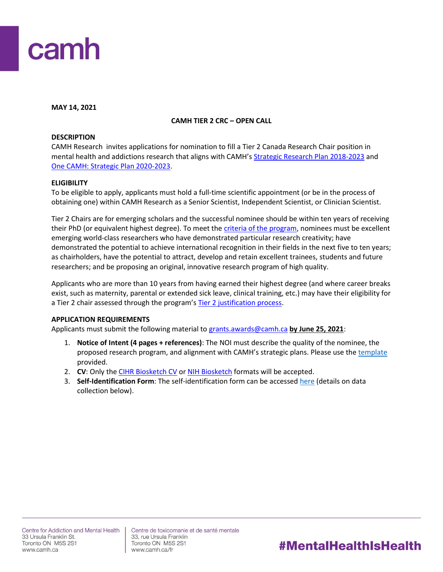

**MAY 14, 2021**

## **CAMH TIER 2 CRC – OPEN CALL**

#### **DESCRIPTION**

CAMH Research invites applications for nomination to fill a Tier 2 Canada Research Chair position in mental health and addictions research that aligns with CAMH's [Strategic Research Plan 2018-2023](http://www.camhx.ca/Publications/CAMHResearchPlan/index.html) and [One CAMH: Strategic Plan 2020-2023.](https://www.camh.ca/en/driving-change/about-camh/one-camh-strategic-plan-2020-2023)

#### **ELIGIBILITY**

To be eligible to apply, applicants must hold a full-time scientific appointment (or be in the process of obtaining one) within CAMH Research as a Senior Scientist, Independent Scientist, or Clinician Scientist.

Tier 2 Chairs are for emerging scholars and the successful nominee should be within ten years of receiving their PhD (or equivalent highest degree). To meet th[e criteria of the program,](http://www.chairs-chaires.gc.ca/program-programme/nomination-mise_en_candidature-eng.aspx#s7) nominees must be excellent emerging world-class researchers who have demonstrated particular research creativity; have demonstrated the potential to achieve international recognition in their fields in the next five to ten years; as chairholders, have the potential to attract, develop and retain excellent trainees, students and future researchers; and be proposing an original, innovative research program of high quality.

Applicants who are more than 10 years from having earned their highest degree (and where career breaks exist, such as maternity, parental or extended sick leave, clinical training, etc.) may have their eligibility for a Tier 2 chair assessed through the program's [Tier 2 justification process.](http://www.chairs-chaires.gc.ca/program-programme/nomination-mise_en_candidature-eng.aspx#s3)

## **APPLICATION REQUIREMENTS**

Applicants must submit the following material t[o grants.awards@camh.ca](mailto:grants.awards@camh.ca?subject=CRC%20T2%20Fall%202021%20-%20Open%20Call) **by June 25, 2021**:

- 1. **Notice of Intent (4 pages + references)**: The NOI must describe the quality of the nominee, the proposed research program, and alignment with CAMH's strategic plans. Please use th[e template](http://ishare.camh.ca/sites/RSO/services/grants/Documents/Grants%20-%20CRC%20T2_NOI%20Template_April2021_FINAL.docx) provided.
- 2. **CV**: Only the [CIHR Biosketch CV](https://cihr-irsc.gc.ca/e/48437.html) o[r NIH Biosketch](https://grants.nih.gov/grants/forms/biosketch.htm) formats will be accepted.
- 3. **Self-Identification Form**: The self-identification form can be accessed [here](http://ishare.camh.ca/sites/RSO/services/grants/Documents/Grants%20-%20CRC_Self-Identification%20Form_Fall2021_FINAL.docx) (details on data collection below).

Centre de toxicomanie et de santé mentale 33, rue Ursula Franklin Toronto ON M5S 2S1 www.camh.ca/fr

# #MentalHealthIsHealth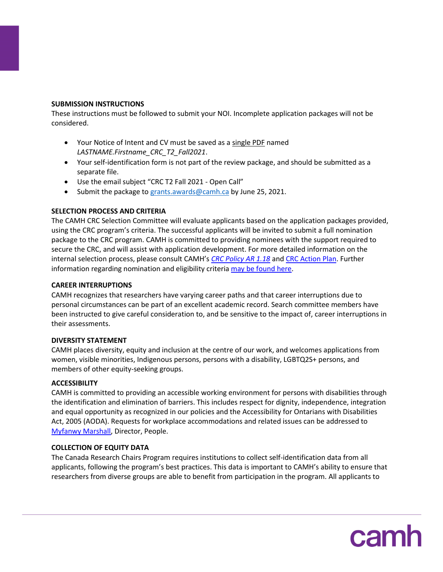#### **SUBMISSION INSTRUCTIONS**

These instructions must be followed to submit your NOI. Incomplete application packages will not be considered.

- Your Notice of Intent and CV must be saved as a single PDF named *LASTNAME.Firstname\_CRC\_T2\_Fall2021*.
- Your self-identification form is not part of the review package, and should be submitted as a separate file.
- Use the email subject "CRC T2 Fall 2021 Open Call"
- Submit the package t[o grants.awards@camh.ca](mailto:grants.awards@camh.ca?subject=CRC%20T2%20Fall%202021%20-%20Open%20Call) by June 25, 2021.

## **SELECTION PROCESS AND CRITERIA**

The CAMH CRC Selection Committee will evaluate applicants based on the application packages provided, using the CRC program's criteria. The successful applicants will be invited to submit a full nomination package to the CRC program. CAMH is committed to providing nominees with the support required to secure the CRC, and will assist with application development. For more detailed information on the internal selection process, please consult CAMH's *[CRC Policy AR 1.18](http://ishare.camh.ca/sites/RSO/policies-sops/Documents/Policies/AR-1.18-Canada-Research-Chair.pdf)* and [CRC Action Plan.](https://www.camh.ca/en/science-and-research/science-and-research-staff-directory/research-chairs) Further information regarding nomination and eligibility criteri[a may be found here.](http://www.chairs-chaires.gc.ca/program-programme/nomination-mise_en_candidature-eng.aspx)

#### **CAREER INTERRUPTIONS**

CAMH recognizes that researchers have varying career paths and that career interruptions due to personal circumstances can be part of an excellent academic record. Search committee members have been instructed to give careful consideration to, and be sensitive to the impact of, career interruptions in their assessments.

## **DIVERSITY STATEMENT**

CAMH places diversity, equity and inclusion at the centre of our work, and welcomes applications from women, visible minorities, Indigenous persons, persons with a disability, LGBTQ2S+ persons, and members of other equity-seeking groups.

## **ACCESSIBILITY**

CAMH is committed to providing an accessible working environment for persons with disabilities through the identification and elimination of barriers. This includes respect for dignity, independence, integration and equal opportunity as recognized in our policies and the Accessibility for Ontarians with Disabilities Act, 2005 (AODA). Requests for workplace accommodations and related issues can be addressed to [Myfanwy Marshall,](mailto:myfanwy.marshall@camh.ca) Director, People.

## **COLLECTION OF EQUITY DATA**

The Canada Research Chairs Program requires institutions to collect self-identification data from all applicants, following the program's best practices. This data is important to CAMH's ability to ensure that researchers from diverse groups are able to benefit from participation in the program. All applicants to